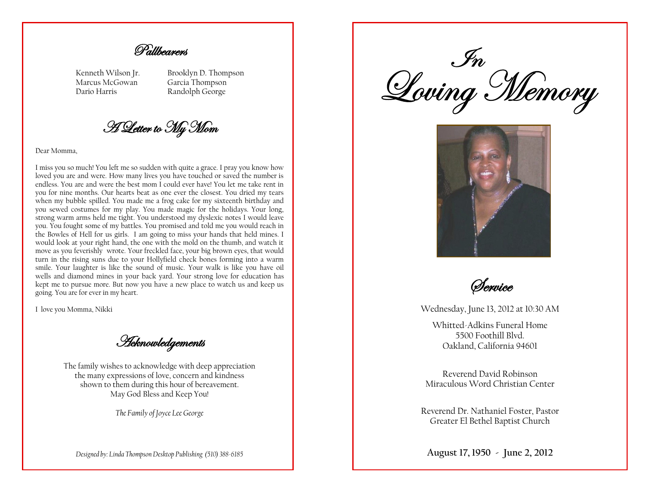Pallbearers

Kenneth Wilson Jr. Marcus McGowan Dario Harris

Brooklyn D. Thompson Garcia Thompson Randolph George

A Letter to My Mom

Dear Momma,

I miss you so much! You left me so sudden with quite a grace. I pray you know how loved you are and were. How many lives you have touched or saved the number is endless. You are and were the best mom I could ever have! You let me take rent in you for nine months. Our hearts beat as one ever the closest. You dried my tears when my bubble spilled. You made me a frog cake for my sixteenth birthday and you sewed costumes for my play. You made magic for the holidays. Your long, strong warm arms held me tight. You understood my dyslexic notes I would leave you. You fought some of my battles. You promised and told me you would reach in the Bowles of Hell for us girls. I am going to miss your hands that held mines. I would look at your right hand, the one with the mold on the thumb, and watch it move as you feverishly wrote. Your freckled face, your big brown eyes, that would turn in the rising suns due to your Hollyfield check bones forming into a warm smile. Your laughter is like the sound of music. Your walk is like you have oil wells and diamond mines in your back yard. Your strong love for education has kept me to pursue more. But now you have a new place to watch us and keep us going. You are for ever in my heart.

I love you Momma, Nikki

*Acknowledgements* 

The family wishes to acknowledge with deep appreciation the many expressions of love, concern and kindness shown to them during this hour of bereavement. May God Bless and Keep You!

*The Family of Joyce Lee George*

*Designed by: Linda Thompson Desktop Publishing (510) 388-6185*

In<br>Loving Memory



Service

Wednesday, June 13, 2012 at 10:30 AM

Whitted-Adkins Funeral Home 5500 Foothill Blvd. Oakland, California 94601

Reverend David Robinson Miraculous Word Christian Center

Reverend Dr. Nathaniel Foster, Pastor Greater El Bethel Baptist Church

**August 17, 1950 - June 2, 2012**